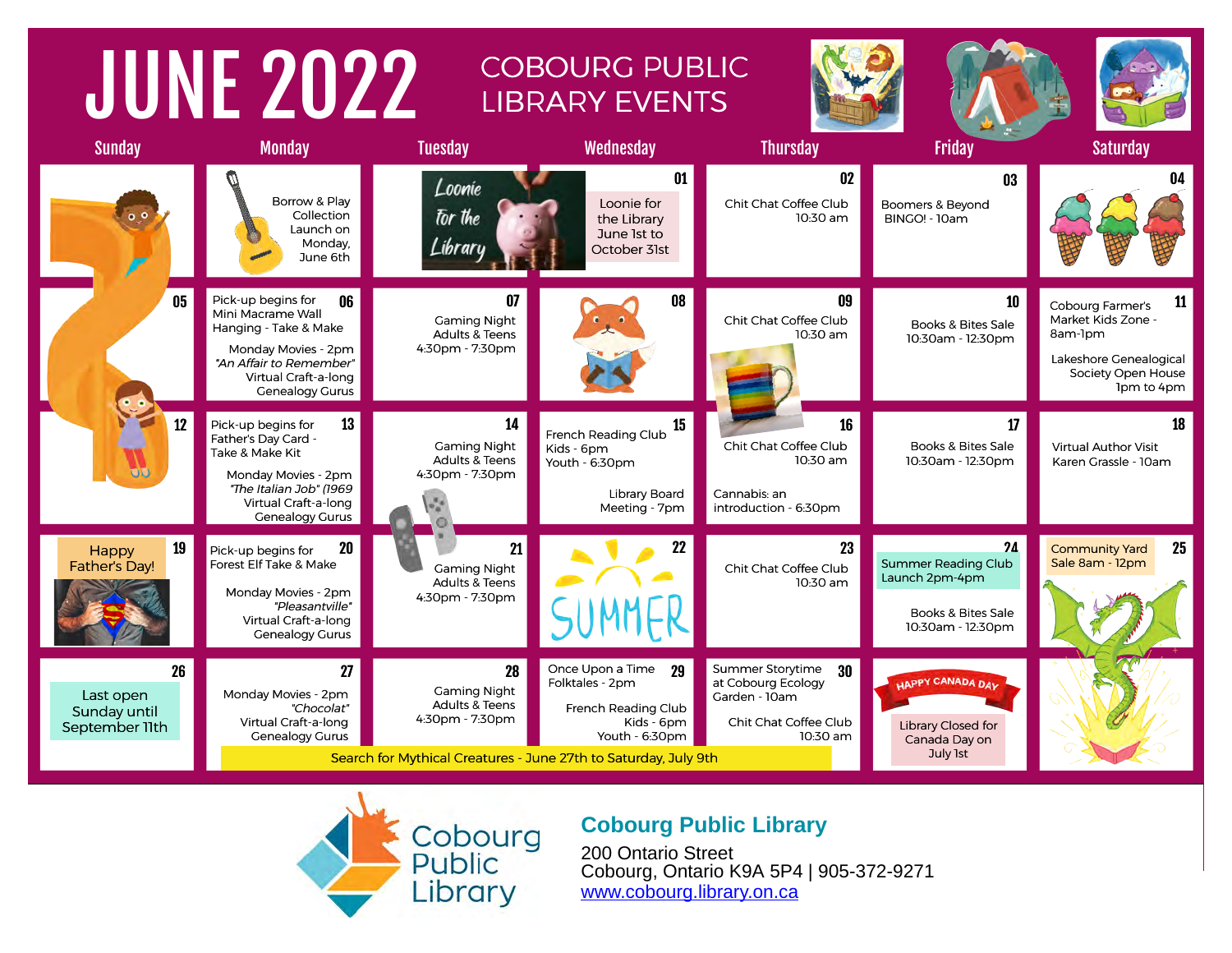#### JUNE 2022 COBOURG PUBLIC LIBRARY EVENTS Sunday Monday Tuesday Wednesday Thursday Friday Saturday 01 02 03 04 Loonie Borrow & Play Loonie for Chit Chat Coffee Club Boomers & Beyond Collection for the the Library 10:30 am BINGO! - 10am Launch on June 1st to Monday, Libraru October 31st June 6th Pick-up begins for 05 06 07 08 09 10 11 Cobourg Farmer's Mini Macrame Wall Gaming Night Chit Chat Coffee Club Market Kids Zone -Books & Bites Sale Hanging - Take & Make Adults & Teens 10:30 am 8am-1pm 10:30am - 12:30pm Monday Movies - 2pm 4:30pm - 7:30pm Lakeshore Genealogical "An Affair to Remember" Society Open House Virtual Craft-a-long 1pm to 4pm Genealogy Gurus 12 13 14 15 16 17 18 French Reading Club Pick-up begins for Father's Day Card -Chit Chat Coffee Club Books & Bites Sale Gaming Night Virtual Author Visit Kids - 6pm Take & Make Kit Adults & Teens 10:30 am 10:30am - 12:30pm Karen Grassle - 10am Youth -  $6:30$ pm





### **Cobourg Public Library**

200 Ontario Street Cobourg, Ontario K9A 5P4 | 905-372-9271 [www.cobourg.library.on.ca](https://libraryaware.com/2JX2MZ)